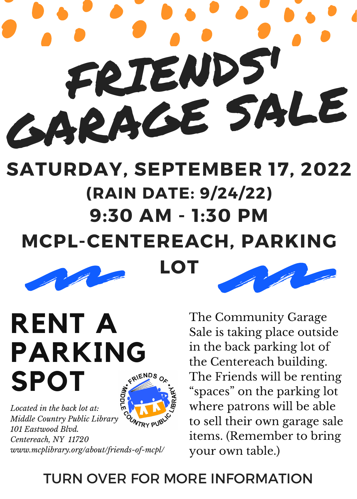# FRIENDS! GARAGE SALE

## **9:30 AM - 1:30 PM MCPL-CENTEREACH, PARKING LOT SATURDAY, SEPTEMBER 17, 2022 (RAIN DATE: 9/24/22)**





**RENT A PARKING** FRIENDS **SPOT**



*Located in the back lot at:* **OUNTRY PUB** *Middle Country Public Library 101 Eastwood Blvd. Centereach, NY 11720 www.mcplibrary.org/about/friends-of-mcpl/* The Community Garage Sale is taking place outside in the back parking lot of the Centereach building. The Friends will be renting "spaces" on the parking lot where patrons will be able to sell their own garage sale items. (Remember to bring your own table.)

### TURN OVER FOR MORE INFORMATION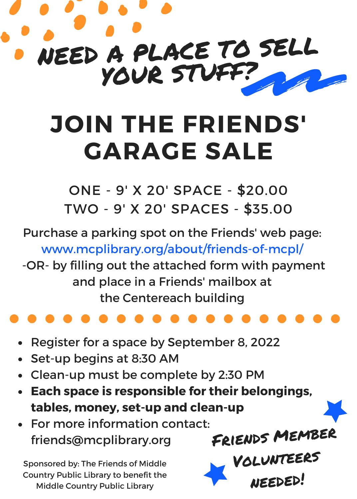

# **JOIN THE FRIENDS' GARAGE SALE**

ONE - 9' X 20' SPACE - \$20.00 TWO - 9' X 20' SPACES - \$35.00

Purchase a parking spot on the Friends' web page: www.mcplibrary.org/about/friends-of-mcpl/

-OR- by filling out the attached form with payment and place in a Friends' mailbox at the Centereach building

- Register for a space by September 8, 2022
- Set-up begins at 8:30 AM
- Clean-up must be complete by 2:30 PM
- **Each space is responsible for their belongings, tables, money, set-up and clean-up**

Friends Member

needed!

VOLUNT

For more information contact: friends@mcplibrary.org

Sponsored by: The Friends of Middle Country Public Library to benefit the Middle Country Public Library